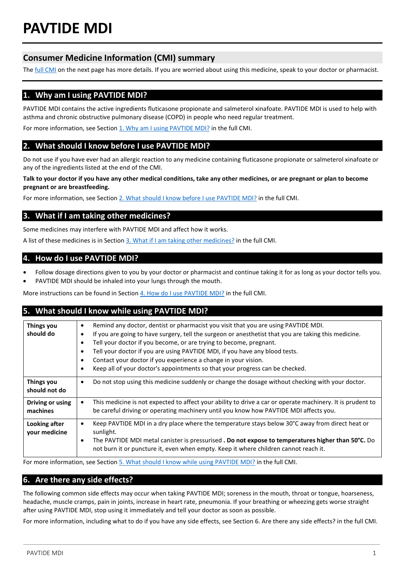# **Consumer Medicine Information (CMI) summary**

The **full CMI** on the next page has more details. If you are worried about using this medicine, speak to your doctor or pharmacist.

# **1. Why am I using PAVTIDE MDI?**

PAVTIDE MDI contains the active ingredients fluticasone propionate and salmeterol xinafoate. PAVTIDE MDI is used to help with asthma and chronic obstructive pulmonary disease (COPD) in people who need regular treatment.

For more information, see Section [1. Why am I using PAVTIDE MDI?](#page-1-1) in the full CMI.

# **2. What should I know before I use PAVTIDE MDI?**

Do not use if you have ever had an allergic reaction to any medicine containing fluticasone propionate or salmeterol xinafoate or any of the ingredients listed at the end of the CMI.

**Talk to your doctor if you have any other medical conditions, take any other medicines, or are pregnant or plan to become pregnant or are breastfeeding.** 

For more information, see Section [2. What should I know before I use PAVTIDE MDI?](#page-1-2) in the full CMI.

# **3. What if I am taking other medicines?**

Some medicines may interfere with PAVTIDE MDI and affect how it works.

A list of these medicines is in Section [3. What if I am taking other medicines?](#page-2-0) in the full CMI.

## **4. How do I use PAVTIDE MDI?**

- Follow dosage directions given to you by your doctor or pharmacist and continue taking it for as long as your doctor tells you.
- PAVTIDE MDI should be inhaled into your lungs through the mouth.

More instructions can be found in Section [4. How do I use PAVTIDE MDI?](#page-2-1) in the full CMI.

# **5. What should I know while using PAVTIDE MDI?**

| <b>Things you</b><br>should do     | Remind any doctor, dentist or pharmacist you visit that you are using PAVTIDE MDI.<br>$\bullet$<br>If you are going to have surgery, tell the surgeon or anesthetist that you are taking this medicine.<br>Tell your doctor if you become, or are trying to become, pregnant.<br>Tell your doctor if you are using PAVTIDE MDI, if you have any blood tests.<br>$\bullet$<br>Contact your doctor if you experience a change in your vision.<br>Keep all of your doctor's appointments so that your progress can be checked. |
|------------------------------------|-----------------------------------------------------------------------------------------------------------------------------------------------------------------------------------------------------------------------------------------------------------------------------------------------------------------------------------------------------------------------------------------------------------------------------------------------------------------------------------------------------------------------------|
| <b>Things you</b><br>should not do | Do not stop using this medicine suddenly or change the dosage without checking with your doctor.<br>$\bullet$                                                                                                                                                                                                                                                                                                                                                                                                               |
| Driving or using<br>machines       | This medicine is not expected to affect your ability to drive a car or operate machinery. It is prudent to<br>$\bullet$<br>be careful driving or operating machinery until you know how PAVTIDE MDI affects you.                                                                                                                                                                                                                                                                                                            |
| Looking after<br>your medicine     | Keep PAVTIDE MDI in a dry place where the temperature stays below 30°C away from direct heat or<br>$\bullet$<br>sunlight.<br>The PAVTIDE MDI metal canister is pressurised <b>. Do not expose to temperatures higher than 50°C.</b> Do<br>$\bullet$<br>not burn it or puncture it, even when empty. Keep it where children cannot reach it.                                                                                                                                                                                 |

For more information, see Section [5. What should I know while using PAVTIDE MDI?](#page-3-0) in the full CMI.

# **6. Are there any side effects?**

The following common side effects may occur when taking PAVTIDE MDI; soreness in the mouth, throat or tongue, hoarseness, headache, muscle cramps, pain in joints, increase in heart rate, pneumonia. If your breathing or wheezing gets worse straight after using PAVTIDE MDI, stop using it immediately and tell your doctor as soon as possible.

For more information, including what to do if you have any side effects, see Section 6. Are there any side effects? in the full CMI.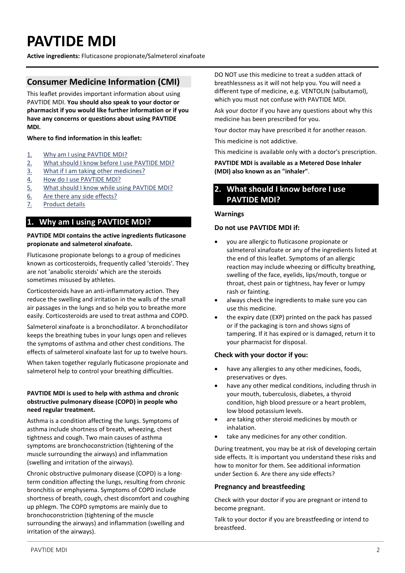# <span id="page-1-0"></span>**PAVTIDE MDI**

**Active ingredients:** Fluticasone propionate/Salmeterol xinafoate

# **Consumer Medicine Information (CMI)**

This leaflet provides important information about using PAVTIDE MDI. **You should also speak to your doctor or pharmacist if you would like further information or if you have any concerns or questions about using PAVTIDE MDI.**

#### **Where to find information in this leaflet:**

- 1. [Why am I using PAVTIDE MDI?](#page-1-1)
- 2. [What should I know before I use PAVTIDE MDI?](#page-1-2)
- 3. [What if I am taking other medicines?](#page-2-0)
- 4. [How do I use PAVTIDE MDI?](#page-2-1)
- 5. [What should I know while using PAVTIDE MDI?](#page-3-0)
- 6. [Are there any side effects?](#page-4-0)
- 7. [Product details](#page-5-0)

# <span id="page-1-1"></span>**1. Why am I using PAVTIDE MDI?**

#### **PAVTIDE MDI contains the active ingredients fluticasone propionate and salmeterol xinafoate.**

Fluticasone propionate belongs to a group of medicines known as corticosteroids, frequently called 'steroids'. They are not 'anabolic steroids' which are the steroids sometimes misused by athletes.

Corticosteroids have an anti-inflammatory action. They reduce the swelling and irritation in the walls of the small air passages in the lungs and so help you to breathe more easily. Corticosteroids are used to treat asthma and COPD.

Salmeterol xinafoate is a bronchodilator. A bronchodilator keeps the breathing tubes in your lungs open and relieves the symptoms of asthma and other chest conditions. The effects of salmeterol xinafoate last for up to twelve hours.

When taken together regularly fluticasone propionate and salmeterol help to control your breathing difficulties.

#### **PAVTIDE MDI is used to help with asthma and chronic obstructive pulmonary disease (COPD) in people who need regular treatment.**

Asthma is a condition affecting the lungs. Symptoms of asthma include shortness of breath, wheezing, chest tightness and cough. Two main causes of asthma symptoms are bronchoconstriction (tightening of the muscle surrounding the airways) and inflammation (swelling and irritation of the airways).

Chronic obstructive pulmonary disease (COPD) is a longterm condition affecting the lungs, resulting from chronic bronchitis or emphysema. Symptoms of COPD include shortness of breath, cough, chest discomfort and coughing up phlegm. The COPD symptoms are mainly due to bronchoconstriction (tightening of the muscle surrounding the airways) and inflammation (swelling and irritation of the airways).

DO NOT use this medicine to treat a sudden attack of breathlessness as it will not help you. You will need a different type of medicine, e.g. VENTOLIN (salbutamol), which you must not confuse with PAVTIDE MDI.

Ask your doctor if you have any questions about why this medicine has been prescribed for you.

Your doctor may have prescribed it for another reason.

This medicine is not addictive.

This medicine is available only with a doctor's prescription.

**PAVTIDE MDI is available as a Metered Dose Inhaler (MDI) also known as an "inhaler"**.

# <span id="page-1-2"></span>**2. What should I know before I use PAVTIDE MDI?**

#### **Warnings**

#### **Do not use PAVTIDE MDI if:**

- you are allergic to fluticasone propionate or salmeterol xinafoate or any of the ingredients listed at the end of this leaflet. Symptoms of an allergic reaction may include wheezing or difficulty breathing, swelling of the face, eyelids, lips/mouth, tongue or throat, chest pain or tightness, hay fever or lumpy rash or fainting.
- always check the ingredients to make sure you can use this medicine.
- the expiry date (EXP) printed on the pack has passed or if the packaging is torn and shows signs of tampering. If it has expired or is damaged, return it to your pharmacist for disposal.

#### **Check with your doctor if you:**

- have any allergies to any other medicines, foods, preservatives or dyes.
- have any other medical conditions, including thrush in your mouth, tuberculosis, diabetes, a thyroid condition, high blood pressure or a heart problem, low blood potassium levels.
- are taking other steroid medicines by mouth or inhalation.
- take any medicines for any other condition.

During treatment, you may be at risk of developing certain side effects. It is important you understand these risks and how to monitor for them. See additional information under Section 6. Are there any side effects?

#### **Pregnancy and breastfeeding**

Check with your doctor if you are pregnant or intend to become pregnant.

Talk to your doctor if you are breastfeeding or intend to breastfeed.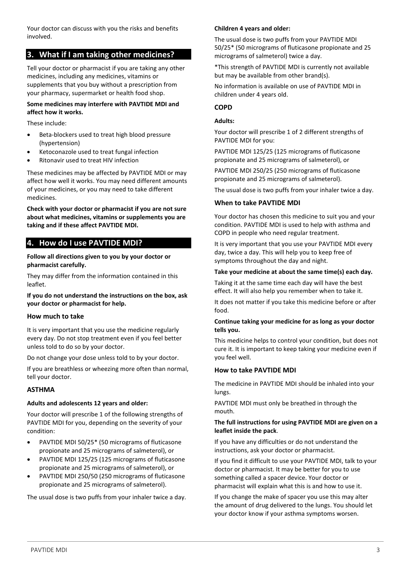Your doctor can discuss with you the risks and benefits involved.

# <span id="page-2-0"></span>**3. What if I am taking other medicines?**

Tell your doctor or pharmacist if you are taking any other medicines, including any medicines, vitamins or supplements that you buy without a prescription from your pharmacy, supermarket or health food shop.

#### **Some medicines may interfere with PAVTIDE MDI and affect how it works.**

These include:

- Beta-blockers used to treat high blood pressure (hypertension)
- Ketoconazole used to treat fungal infection
- Ritonavir used to treat HIV infection

These medicines may be affected by PAVTIDE MDI or may affect how well it works. You may need different amounts of your medicines, or you may need to take different medicines.

**Check with your doctor or pharmacist if you are not sure about what medicines, vitamins or supplements you are taking and if these affect PAVTIDE MDI.**

# <span id="page-2-1"></span>**4. How do I use PAVTIDE MDI?**

**Follow all directions given to you by your doctor or pharmacist carefully.** 

They may differ from the information contained in this leaflet.

**If you do not understand the instructions on the box, ask your doctor or pharmacist for help.** 

#### **How much to take**

It is very important that you use the medicine regularly every day. Do not stop treatment even if you feel better unless told to do so by your doctor.

Do not change your dose unless told to by your doctor.

If you are breathless or wheezing more often than normal, tell your doctor.

#### **ASTHMA**

# **Adults and adolescents 12 years and older:**

Your doctor will prescribe 1 of the following strengths of PAVTIDE MDI for you, depending on the severity of your condition:

- PAVTIDE MDI 50/25\* (50 micrograms of fluticasone propionate and 25 micrograms of salmeterol), or
- PAVTIDE MDI 125/25 (125 micrograms of fluticasone propionate and 25 micrograms of salmeterol), or
- PAVTIDE MDI 250/50 (250 micrograms of fluticasone propionate and 25 micrograms of salmeterol).

The usual dose is two puffs from your inhaler twice a day.

# **Children 4 years and older:**

The usual dose is two puffs from your PAVTIDE MDI 50/25\* (50 micrograms of fluticasone propionate and 25 micrograms of salmeterol) twice a day.

\*This strength of PAVTIDE MDI is currently not available but may be available from other brand(s).

No information is available on use of PAVTIDE MDI in children under 4 years old.

### **COPD**

#### **Adults:**

Your doctor will prescribe 1 of 2 different strengths of PAVTIDE MDI for you:

PAVTIDE MDI 125/25 (125 micrograms of fluticasone propionate and 25 micrograms of salmeterol), or

PAVTIDE MDI 250/25 (250 micrograms of fluticasone propionate and 25 micrograms of salmeterol).

The usual dose is two puffs from your inhaler twice a day.

#### **When to take PAVTIDE MDI**

Your doctor has chosen this medicine to suit you and your condition. PAVTIDE MDI is used to help with asthma and COPD in people who need regular treatment.

It is very important that you use your PAVTIDE MDI every day, twice a day. This will help you to keep free of symptoms throughout the day and night.

#### **Take your medicine at about the same time(s) each day.**

Taking it at the same time each day will have the best effect. It will also help you remember when to take it.

It does not matter if you take this medicine before or after food.

#### **Continue taking your medicine for as long as your doctor tells you.**

This medicine helps to control your condition, but does not cure it. It is important to keep taking your medicine even if you feel well.

#### **How to take PAVTIDE MDI**

The medicine in PAVTIDE MDI should be inhaled into your lungs.

PAVTIDE MDI must only be breathed in through the mouth.

#### **The full instructions for using PAVTIDE MDI are given on a leaflet inside the pack**.

If you have any difficulties or do not understand the instructions, ask your doctor or pharmacist.

If you find it difficult to use your PAVTIDE MDI, talk to your doctor or pharmacist. It may be better for you to use something called a spacer device. Your doctor or pharmacist will explain what this is and how to use it.

If you change the make of spacer you use this may alter the amount of drug delivered to the lungs. You should let your doctor know if your asthma symptoms worsen.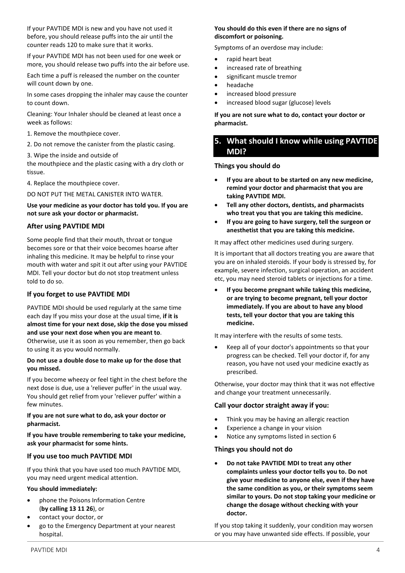If your PAVTIDE MDI is new and you have not used it before, you should release puffs into the air until the counter reads 120 to make sure that it works.

If your PAVTIDE MDI has not been used for one week or more, you should release two puffs into the air before use.

Each time a puff is released the number on the counter will count down by one.

In some cases dropping the inhaler may cause the counter to count down.

Cleaning: Your Inhaler should be cleaned at least once a week as follows:

- 1. Remove the mouthpiece cover.
- 2. Do not remove the canister from the plastic casing.

3. Wipe the inside and outside of

the mouthpiece and the plastic casing with a dry cloth or tissue.

4. Replace the mouthpiece cover.

DO NOT PUT THE METAL CANISTER INTO WATER.

**Use your medicine as your doctor has told you. If you are not sure ask your doctor or pharmacist.** 

#### **After using PAVTIDE MDI**

Some people find that their mouth, throat or tongue becomes sore or that their voice becomes hoarse after inhaling this medicine. It may be helpful to rinse your mouth with water and spit it out after using your PAVTIDE MDI. Tell your doctor but do not stop treatment unless told to do so.

#### **If you forget to use PAVTIDE MDI**

PAVTIDE MDI should be used regularly at the same time each day If you miss your dose at the usual time, **if it is almost time for your next dose, skip the dose you missed and use your next dose when you are meant to**. Otherwise, use it as soon as you remember, then go back to using it as you would normally.

#### **Do not use a double dose to make up for the dose that you missed.**

If you become wheezy or feel tight in the chest before the next dose is due, use a 'reliever puffer' in the usual way. You should get relief from your 'reliever puffer' within a few minutes.

#### **If you are not sure what to do, ask your doctor or pharmacist.**

**If you have trouble remembering to take your medicine, ask your pharmacist for some hints.**

#### **If you use too much PAVTIDE MDI**

If you think that you have used too much PAVTIDE MDI, you may need urgent medical attention.

#### **You should immediately:**

- phone the Poisons Information Centre (**by calling 13 11 26**), or
- contact your doctor, or
- go to the Emergency Department at your nearest hospital.

#### **You should do this even if there are no signs of discomfort or poisoning.**

Symptoms of an overdose may include:

- rapid heart beat
- increased rate of breathing
- significant muscle tremor
- headache
- increased blood pressure
- increased blood sugar (glucose) levels

**If you are not sure what to do, contact your doctor or pharmacist.** 

# <span id="page-3-0"></span>**5. What should I know while using PAVTIDE MDI?**

#### **Things you should do**

- **If you are about to be started on any new medicine, remind your doctor and pharmacist that you are taking PAVTIDE MDI.**
- **Tell any other doctors, dentists, and pharmacists who treat you that you are taking this medicine.**
- **If you are going to have surgery, tell the surgeon or anesthetist that you are taking this medicine.**

It may affect other medicines used during surgery.

It is important that all doctors treating you are aware that you are on inhaled steroids. If your body is stressed by, for example, severe infection, surgical operation, an accident etc, you may need steroid tablets or injections for a time.

• **If you become pregnant while taking this medicine, or are trying to become pregnant, tell your doctor immediately. If you are about to have any blood tests, tell your doctor that you are taking this medicine.** 

It may interfere with the results of some tests.

• Keep all of your doctor's appointments so that your progress can be checked. Tell your doctor if, for any reason, you have not used your medicine exactly as prescribed.

Otherwise, your doctor may think that it was not effective and change your treatment unnecessarily.

#### **Call your doctor straight away if you:**

- Think you may be having an allergic reaction
- Experience a change in your vision
- Notice any symptoms listed in section 6

## **Things you should not do**

• **Do not take PAVTIDE MDI to treat any other complaints unless your doctor tells you to. Do not give your medicine to anyone else, even if they have the same condition as you, or their symptoms seem similar to yours. Do not stop taking your medicine or change the dosage without checking with your doctor.** 

If you stop taking it suddenly, your condition may worsen or you may have unwanted side effects. If possible, your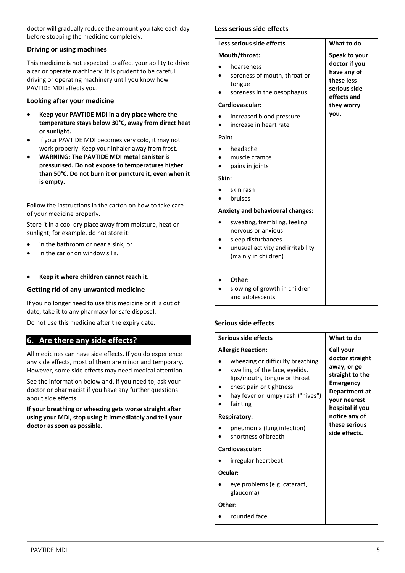doctor will gradually reduce the amount you take each day before stopping the medicine completely.

#### **Driving or using machines**

This medicine is not expected to affect your ability to drive a car or operate machinery. It is prudent to be careful driving or operating machinery until you know how PAVTIDE MDI affects you.

#### **Looking after your medicine**

- **Keep your PAVTIDE MDI in a dry place where the temperature stays below 30°C, away from direct heat or sunlight.**
- If your PAVTIDE MDI becomes very cold, it may not work properly. Keep your Inhaler away from frost.
- **WARNING: The PAVTIDE MDI metal canister is pressurised. Do not expose to temperatures higher than 50°C. Do not burn it or puncture it, even when it is empty.**

Follow the instructions in the carton on how to take care of your medicine properly.

Store it in a cool dry place away from moisture, heat or sunlight; for example, do not store it:

- in the bathroom or near a sink, or
- in the car or on window sills.
- **Keep it where children cannot reach it.**

#### **Getting rid of any unwanted medicine**

If you no longer need to use this medicine or it is out of date, take it to any pharmacy for safe disposal.

Do not use this medicine after the expiry date.

## <span id="page-4-0"></span>**6. Are there any side effects?**

All medicines can have side effects. If you do experience any side effects, most of them are minor and temporary. However, some side effects may need medical attention.

See the information below and, if you need to, ask your doctor or pharmacist if you have any further questions about side effects.

**If your breathing or wheezing gets worse straight after using your MDI, stop using it immediately and tell your doctor as soon as possible.** 

#### **Less serious side effects**

| Less serious side effects |                                                                                                                                       | What to do                                                                              |
|---------------------------|---------------------------------------------------------------------------------------------------------------------------------------|-----------------------------------------------------------------------------------------|
| Mouth/throat:             |                                                                                                                                       | Speak to your                                                                           |
|                           | hoarseness<br>soreness of mouth, throat or<br>tongue<br>soreness in the oesophagus<br>Cardiovascular:                                 | doctor if you<br>have any of<br>these less<br>serious side<br>effects and<br>they worry |
|                           | increased blood pressure<br>increase in heart rate                                                                                    | you.                                                                                    |
| Pain:                     |                                                                                                                                       |                                                                                         |
|                           | headache<br>muscle cramps<br>pains in joints                                                                                          |                                                                                         |
| Skin:                     |                                                                                                                                       |                                                                                         |
|                           | skin rash<br>bruises                                                                                                                  |                                                                                         |
|                           | <b>Anxiety and behavioural changes:</b>                                                                                               |                                                                                         |
|                           | sweating, trembling, feeling<br>nervous or anxious<br>sleep disturbances<br>unusual activity and irritability<br>(mainly in children) |                                                                                         |
|                           | Other:<br>slowing of growth in children<br>and adolescents                                                                            |                                                                                         |

#### **Serious side effects**

| Serious side effects |                                                                                                                                                                                                             | What to do                                                                                                                             |
|----------------------|-------------------------------------------------------------------------------------------------------------------------------------------------------------------------------------------------------------|----------------------------------------------------------------------------------------------------------------------------------------|
|                      | <b>Allergic Reaction:</b><br>wheezing or difficulty breathing<br>swelling of the face, eyelids,<br>lips/mouth, tongue or throat<br>chest pain or tightness<br>hay fever or lumpy rash ("hives")<br>fainting | Call your<br>doctor straight<br>away, or go<br>straight to the<br><b>Emergency</b><br>Department at<br>your nearest<br>hospital if you |
| <b>Respiratory:</b>  |                                                                                                                                                                                                             | notice any of                                                                                                                          |
|                      | pneumonia (lung infection)<br>shortness of breath                                                                                                                                                           | these serious<br>side effects.                                                                                                         |
| Cardiovascular:      |                                                                                                                                                                                                             |                                                                                                                                        |
|                      | irregular heartbeat                                                                                                                                                                                         |                                                                                                                                        |
| Ocular:              |                                                                                                                                                                                                             |                                                                                                                                        |
|                      | eye problems (e.g. cataract,<br>glaucoma)                                                                                                                                                                   |                                                                                                                                        |
| Other:               |                                                                                                                                                                                                             |                                                                                                                                        |
|                      | rounded face                                                                                                                                                                                                |                                                                                                                                        |